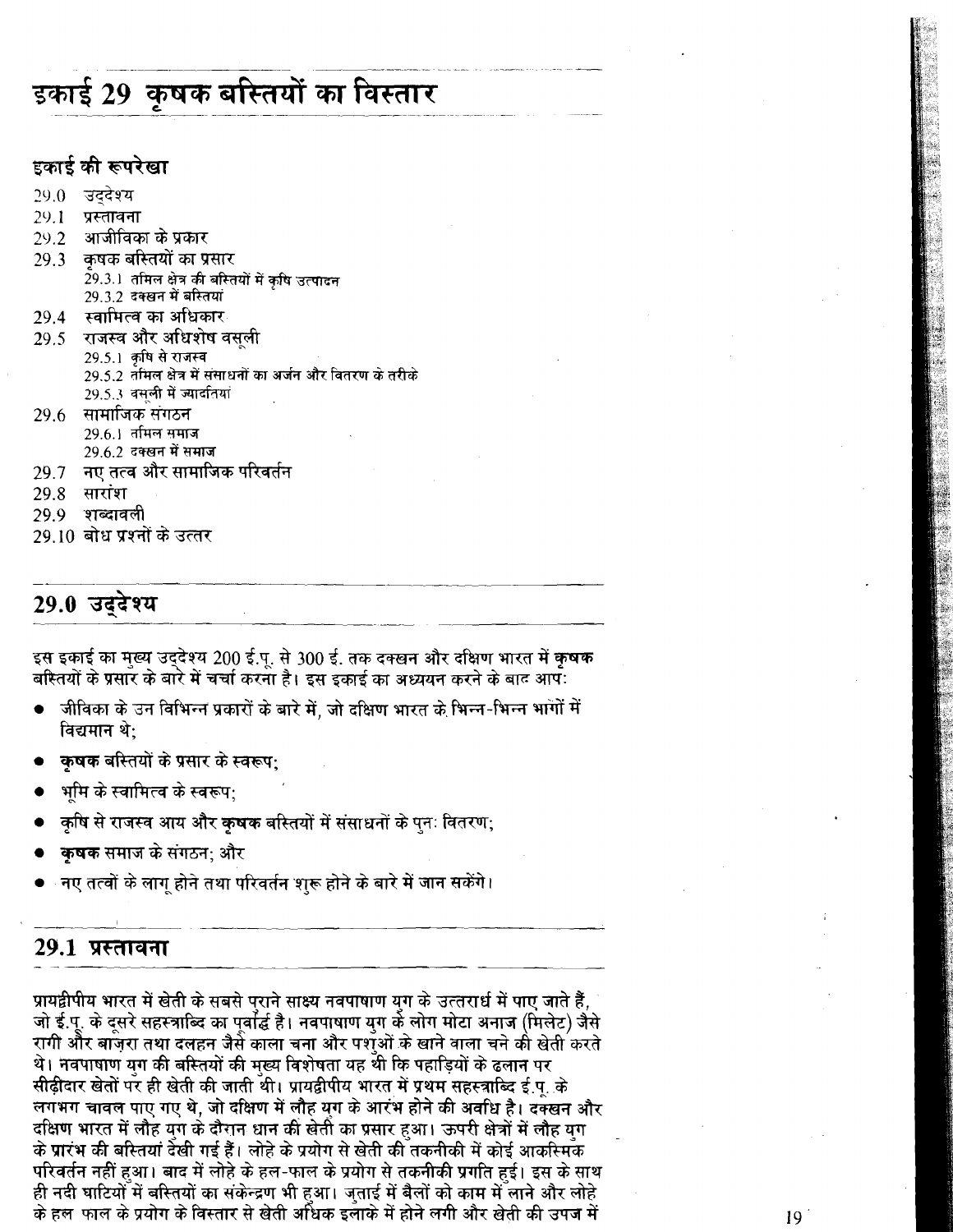# इकाई 29 कृषक बस्तियों का विस्तार

### इकाई की रूपरेखा

- 29.0 उददेश्य
- $29.1$ प्रस्तावना
- आजीविका के प्रकार  $29.2$
- 29.3 = कषक बस्तियों का प्रसार 29.3.1 तमिल क्षेत्र की बस्तियों में कृषि उत्पादन 29.3.2 दक्खन में बस्तियां
- स्वामित्व का अधिकार 29.4
- 29.5 राजस्व और अधिशेष वसली
	- 29.5.1 कषि से राजस्व
	- 29.5.2 तमिल क्षेत्र में संसाधनों का अर्जन और वितरण के तरीके
	- 29.5.3 वसूली में ज्यादतियां
- 29.6 सामाजिक संगठन 29.6.1 तमिल समाज
	- 29.6.2 दक्खन में समाज
- 29.7 नए तत्व और सामाजिक परिवर्तन
- <u> 29.8 सारांश</u>
- 29.9 शब्दावली
- 29 10 बोध पश्नों के उत्तर

### 29.0 उदुदेश्य

इस इकाई का मुख्य उद्देश्य 200 ई.पू. से 300 ई. तक दक्खन और दक्षिण भारत में कृषक बरितयों के प्रसार के बारे में चर्चा करना है। इस इकाई का अध्ययन करने के बाद आप:

- जीविका के उन विभिन्न प्रकारों के बारे में, जो दक्षिण भारत के भिन्न-भिन्न भागों में विद्यमान थे:
- कुषक बस्तियों के प्रसार के स्वरूप:
- भमि के स्वामित्व के स्वरूप:
- ़कृषि से राजस्व आय और **कृषक** बस्तियों में संसाधनों के पुनः वितरण;
- कुषक समाज के संगठन; और
- नए तत्वों के लाग होने तथा परिवर्तन शुरू होने के बारे में जान सकेंगे।

### 29.1 प्रस्तावना

प्रायद्वीपीय भारत में खेती के सबसे प्राने साक्ष्य नवपाषाण युग के उत्तरार्ध में पाए जाते हैं, जो ई.पू. के दुसरे सहस्त्राब्दि का पुर्वार्द्ध है। नवपाषाण युग के लोग मोटा अनाज (मिलेट) जैसे रागी और बाज़रा तथा दलहन जैसे काला चना और पशओं के खाने वाला चने की खेती करते थे। नवपाषाण युग की बस्तियों की मुख्य विशेषता यह थी कि पहाड़ियों के ढलान पर सीढ़ीदार खेतों पर ही खेती की जाती थी। प्रायद्वीपीय भारत में प्रथम सहस्त्राब्दि ई.पु. के लगभग चावल पाए गए थे, जो दक्षिण में लौह युग के आरंभ होने की अवधि है। दक्खन और दक्षिण भारत में लौह युग के दौरान धान की खेती का प्रसार हुआ। ऊपरी क्षेत्रों में लौह युग के प्रारंभ की बस्तियां देखी गई हैं। लोहे के प्रयोग से खेती की तकनीकी में कोई आकस्मिक परिवर्तन नहीं हुआ। बाद में लोहे के हल-फाल के प्रयोग से तकनीकी प्रगति हुई। इस के साथ ही नदी घाटियों में बस्तियों का संकेन्द्रण भी हुआ। जताई में बैलों को काम में लाने और लोहे के हल फाल के प्रयोग के विस्तार से खेती अधिक इलाके में होने लगी और खेती की उपज में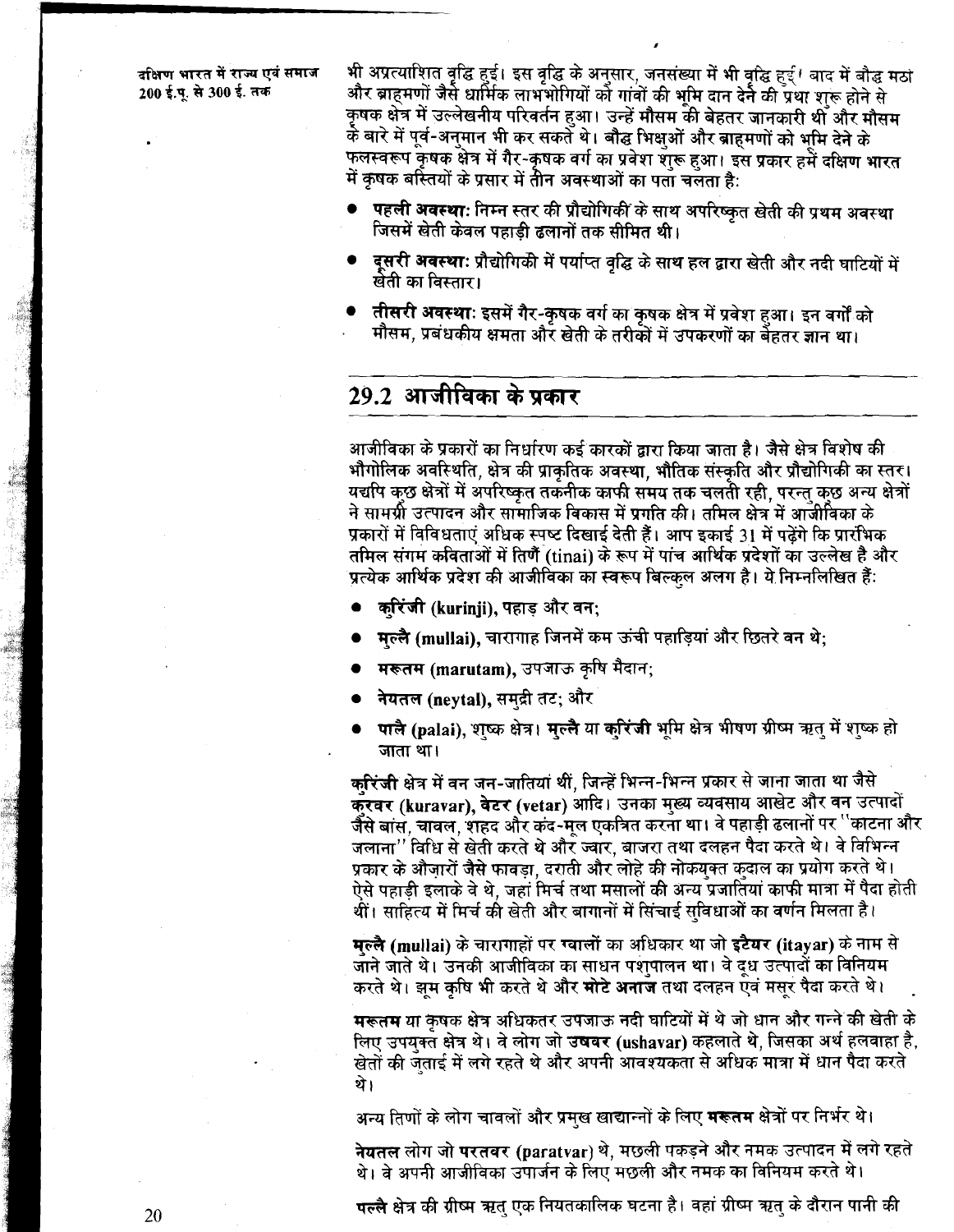भी अप्रत्याशित वृद्धि हुई। इस वृद्धि के अनुसार, जनसंख्या में भी वृद्धि हुई। बाद में बौद्ध मठा और ब्राहमणों जैसे धार्मिक लाभभोगियों को गांवों की भूमि दान देने की प्रथा शुरू होने से कृषक क्षेत्र में उल्लेखनीय परिवर्तन हुआ। उन्हें मौसम की बेहतर जानकारी थी और मौसम र्क बारे में पूर्व-अनुमान भी कर सकते थे। बौद्ध भिक्षुओं और ब्राहमणों को भूमि देने के फलस्वरूप कृषक क्षेत्र में गैर-कृषक वर्ग का प्रवेश शुरू हुआ। इस प्रकार हमें दक्षिण भारत में कृषक बर्रितयों के प्रसार में तीन अवस्थाओं का पता चलता है:

- पहली अवस्था: निम्न स्तर की प्रौद्योगिकी के साथ अपरिष्कृत खेती की प्रथम अवस्था जिसमें खेती केवल पहाडी ढलानों तक सीमित थी।
- दूसरी अवस्थाः प्रौद्योगिकी में पर्याप्त वृद्धि के साथ हल द्वारा खेती और नदी घाटियों में खेती का विस्तार।
- तीसरी अवस्थाः इसमें गैर-कृषक वर्ग का कृषक क्षेत्र में प्रवेश हुआ। इन वर्गों को मौसम, प्रबंधकीय क्षमता और खेती के तरीकों में उपकरणों का बैहतर ज्ञान था।

### 29.2 आजीविका के प्रकार

आजीविका के प्रकारों का निर्धारण कई कारकों द्वारा किया जाता है। जैसे क्षेत्र विशेष की भौगोलिक अवस्थिति, क्षेत्र की प्राकृतिक अवस्था, भौतिक संस्कृति और प्रौद्योगिकी का स्तर। यद्यपि कछ क्षेत्रों में अपरिष्कत तकनीक काफी समय तक चलती रही, परन्तु कुछ अन्य क्षेत्रों ने सामग्री उत्पादन और सामाजिक विकास में प्रगति की। तमिल क्षेत्र में आजीविका के प्रकारों में विविधताएं अधिक स्पष्ट दिखाई देती हैं। आप इकाई 31 में पढ़ेंगे कि प्रारंभिक तमिल संगम कविताओं में तिर्णै (tinai) के रूप में पांच आर्थिक प्रदेशों का उल्लेख है और प्रत्येक आर्थिक प्रदेश की आजीविका का स्वरूप बिल्कल अलग है। ये निम्नलिखित हैं:

- करिंजी (kurinji), पहाड़ और वन:
- मल्लै (mullai), चारागाह जिनमें कम ऊंची पहाड़ियां और छितरे वन थे;
- ्मरूतम (marutam), उपजाऊ कृषि मैदान;
- नेयतल (neytal), समुद्री तट; और
- पालै (palai), शष्क क्षेत्र। मुल्लै या करिंजी भूमि क्षेत्र भीषण ग्रीष्म ऋतु में शुष्क हो जाता था।

करिंजी क्षेत्र में वन जन-जातियां थीं, जिन्हें भिन्न-भिन्न प्रकार से जाना जाता था जैसे क्रवर (kuravar), वेटर (vetar) आदि। उनका मुख्य व्यवसाय आखेट और वन उत्पादों जैसे बास, चावल, शहद और कंद-मूल एकत्रित करना था। वे पहाड़ी ढलानों पर ''काटना और जलाना'' विधि से खेती करते थे और ज्वार, बाजरा तथा दलहन पैदा करते थे। वे विभिन्न प्रकार के औज़ारों जैसे फावड़ा, दराती और लोहे की नोकयुक्त कुदाल का प्रयोग करते थे। ऐसे पहाड़ी इलाके वे थे. जहां मिर्च तथा मसालों की अन्य प्रजातियां काफी मात्रा में पैदा होती थीं। साहित्य में मिर्च की खेती और बागानों में सिंचाई सविधाओं का वर्णन मिलता है।

मुल्लै (mullai) के चारागाहों पर ग्वालों का अधिकार था जो इटैयर (itayar) के नाम से जाने जाते थे। उनकी आजीविका का साधन पशुपालन था। वे दूध उत्पादों का विनियम करते थे। झम कषि भी करते थे और **मोटे अनाज** तथा दलहन एवं मसर पैदा करते थे।

मरूतम या कृषक क्षेत्र अधिकतर उपजाऊ नदी घाटियों में थे जो धान और गन्ने की खेती के लिए उपयुक्त क्षेत्र थे। वे लोग जो उषवर (ushavar) कहलाते थे, जिसका अर्थ हलवाहा है, खेतों की जुताई में लगे रहते थे और अपनी आवश्यकता से अधिक मात्रा में धान पैदा करते थे।

अन्य तिणों के लोग चावलों और प्रमुख खाद्यान्नों के लिए **मरूतम** क्षेत्रों पर निर्भर थे।

नेयतल लोग जो परतवर (paratvar) थे, मछली पकड़ने और नमक उत्पादन में लगे रहते थे। वे अपनी आजीविका उपार्जन के लिए मछली और नमक का विनियम करते थे।

पल्लै क्षेत्र की ग्रीष्म ऋतु एक नियतकालिक घटना है। वहां ग्रीष्म ऋतु के दौरान पानी की

20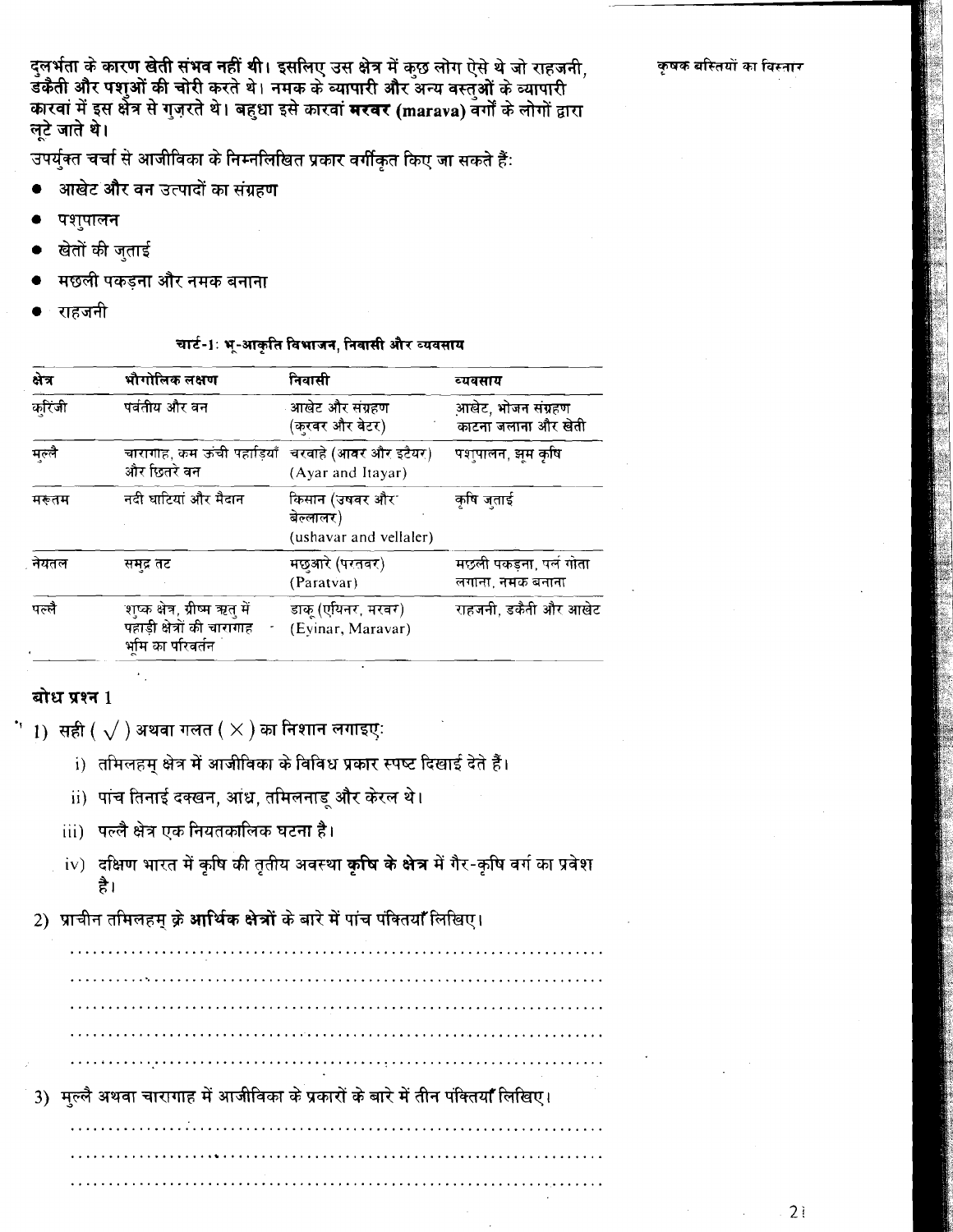दुलर्भता के कारण खेती संभव नहीं थी। इसलिए उस क्षेत्र में कुछ लोग ऐसे थे जो राहजनी, डँकैती और पशुओं की चोरी करते थे। नमक के व्यापारी और अन्य वस्तओं के व्यापारी कारवां में इस क्षेत्र से गुज़रते थे। बहुधा इसे कारवां मरवर (marava) वर्गों के लोगों द्वारा लुटे जाते थे।

उपर्युक्त चर्चा से आजीविका के निम्नलिखित प्रकार वर्गीकृत किए जा सकते हैं:

- आखेट और वन उत्पादों का संग्रहण
- पशुपालन
- खेतों की जुताई
- मछली पकडना और नमक बनाना
- राहजनी

चार्ट-1ः भू-आकृति विभाजन, निवासी और व्यवसाय

| क्षेत्र | भौगोलिक लक्षण                                                                      | निवासी                                                | व्यवसाय                                    |
|---------|------------------------------------------------------------------------------------|-------------------------------------------------------|--------------------------------------------|
| करिंजी  | पर्वतीय और वन                                                                      | ्आखेट और संग्रहण<br>(करवर और वेटर)                    | आखेट, भोजन संग्रहण<br>काटना जलाना और खेती  |
| मल्लै   | चारागाह, कम ऊंची पहाड़ियाँ चरवाहे (आवर और इटैयर)<br>और छितरे वन                    | (Ayar and Itayar)                                     | पशुपालन, झुम कृषि                          |
| मरूतम   | नदी घाटियां और मैदान                                                               | किसान (उषवर और<br>बेल्लालर)<br>(ushavar and vellaler) | कृषि जुताई                                 |
| नेयतल   | समुद्र तट                                                                          | मछुआरे (परतवर)<br>(Paratvar)                          | मछली पकड़ना, पर्ल गोता<br>लगाना, नमक बनाना |
| पल्लै   | शुष्क क्षेत्र, ग्रीष्म ऋतु में<br>पहाड़ी क्षेत्रों की चारागाह<br>र्भाम का परिवर्तन | डाक् (एयिनर, मरवर)<br>(Eyinar, Maravar)               | राहजनी, डकैती और आखेट                      |

#### बोध प्रश्न 1

- ं  $\,$  1)  $\,$  सही (  $\sqrt{\,}$  ) अथवा गलत (  $\times$  ) का निशान लगाइएः
	- i) तमिलहम् क्षेत्र में आजीविका के विविध प्रकार स्पष्ट दिखाई देते हैं।
	- ii) पांच तिनाई दक्खन, आंध्र, तमिलनाडु और केरल थे।
	- iii) पल्लै क्षेत्र एक नियतकालिक घटना है।
	- iv) दक्षिण भारत में कृषि की तृतीय अवस्था **कृषि के क्षेत्र** में गैर-कृषि वर्ग का प्रवेश है।
	- 2) प्राचीन तमिलहम् क्रे आर्थिक क्षेत्रों के बारे में पांच पंक्तियाँ लिखिए।

3) मुल्लै अथवा चारागाह में आजीविका के प्रकारों के बारे में तीन पंक्तियाँ लिखिए।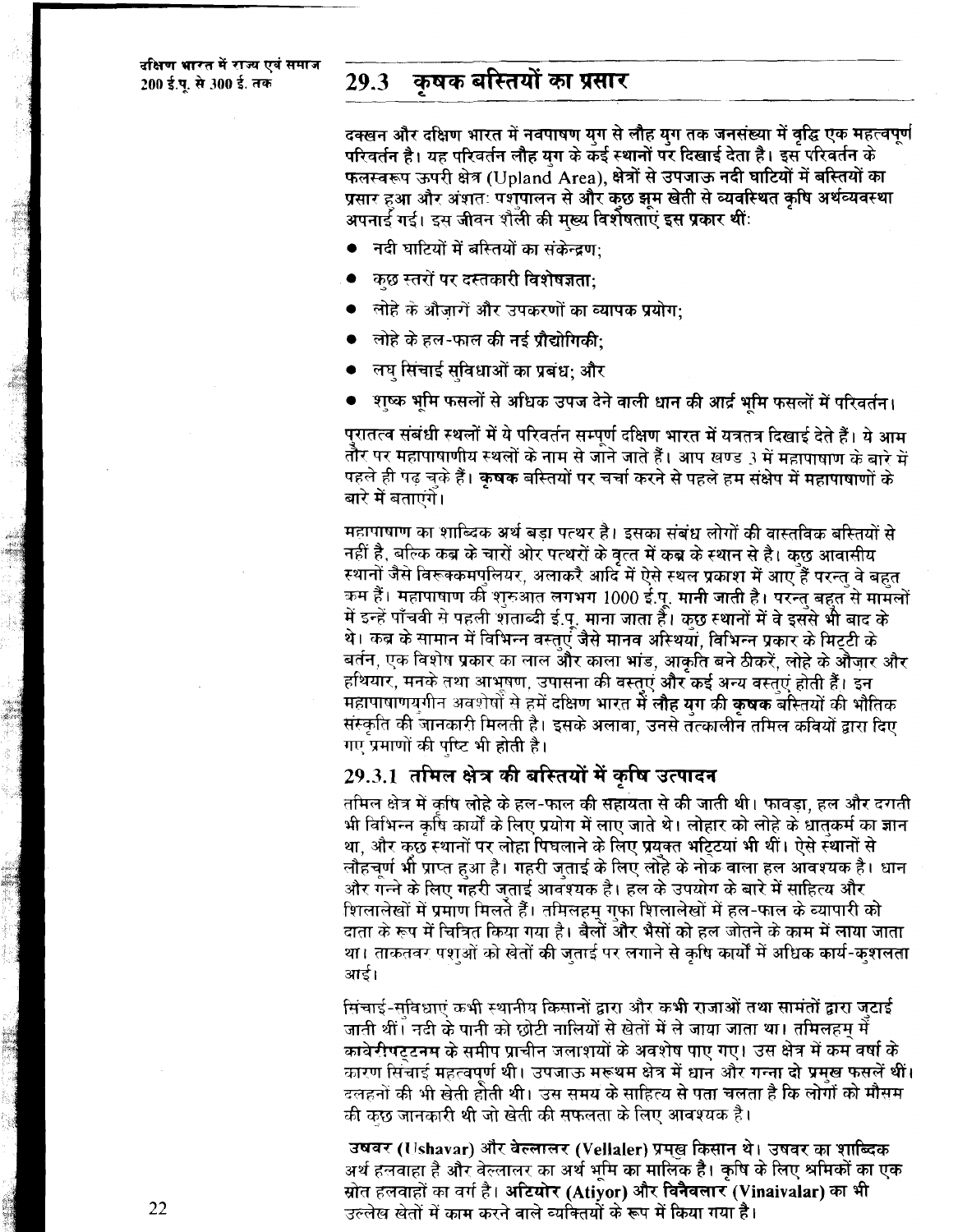#### कुषक बस्तियों का प्रसार 29.3

दक्खन और दक्षिण भारत में नवपाषण यग से लौह यग तक जनसंख्या में वद्धि एक महत्वपर्ण परिवर्तन है। यह परिवर्तन लौह यग के कई स्थानों पर दिखाई देता है। इस परिवर्तन के फलस्वरूप ऊपरी क्षेत्र (Upland Area), क्षेत्रों से उपजाऊ नदी घाटियों में बस्तियों का प्रसार हुआ और अंशतः पशुपालन से और कछ झम खेती से व्यवस्थित कषि अर्थव्यवस्था अपनार्ड गई। इस जीवन शैली की मख्य विशेषताएं इस प्रकार थीं:

- नदी घाटियों में बस्तियों का संकेन्द्रण:
- कुछ स्तरों पर दस्तकारी विशेषज्ञता:
- लोहे के औजारों और उपकरणों का व्यापक प्रयोग:
- लोहे के हल-फाल की नई प्रौद्योगिकी:
- लघ सिंचाई सविधाओं का प्रबंध; और
- शष्क भूमि फसलों से अधिक उपज देने वाली धान की आर्द्र भूमि फसलों में परिवर्तन।

पुरातत्व संबंधी स्थलों में ये परिवर्तन सम्पर्ण दक्षिण भारत में यत्रतत्र दिखाई देते हैं। ये आम तौर पर महापाषाणीय स्थलों के नाम से जाने जाते हैं। आप खण्ड 3 में महापाषाण के बारे में पहले ही पढ चके हैं। कषक बस्तियों पर चर्चा करने से पहले हम संक्षेप में महापाषाणों के बारे में बताएंगे।

महापाषाण का शाब्दिक अर्थ बडा पत्थर है। इसका संबंध लोगों की वास्तविक बस्तियों से नहीं है, बल्कि कब्र के चारों ओर पत्थरों के वृत्त में कब्र के स्थान से है। कुछ आवासीय स्थानों जैसे विरूक्कमपुलियर, अलाकरै आदि में ऐसे स्थल प्रकाश में आए हैं परन्त वे बहुत कम हैं। महापाषाण की शरुआत लगभग 1000 ई.प. मानी जाती है। परन्त बहुत से मामलों में इन्हें पाँचवी से पहली शताब्दी ई.पू. माना जाता है। कुछ स्थानों में वे इससे भी बाद के थे। कब्र के सामान में विभिन्न वस्तएं जैसे मानव अस्थियां, विभिन्न प्रकार के मिटटी के बर्तन, एक विशेष प्रकार का लाल और काला भांड, आकृति बने ठीकरें, लोहे के औजार और हथियार, मनके तथा आभूषण, उपासना की वस्तुएं और कई अन्य वस्तुएं होती हैं। इन महापाषाणयगीन अवशेषों से हमें दक्षिण भारत में लौह यग की कषक बस्तियों की भौतिक संस्कृति की जानकारी मिलती है। इसके अलावा, उनसे तत्कालीन तमिल कवियों द्वारा दिए गए प्रमाणों की पुष्टि भी होती है।

### 29.3.1 तमिल क्षेत्र की बस्तियों में कृषि उत्पादन

तमिल क्षेत्र में कषि लोहे के हल-फाल की सहायता से की जाती थी। फावडा, हल और दगती भी विभिन्न कषि कार्यों के लिए प्रयोग में लाए जाते थे। लोहार को लोहे के धातकर्म का ज्ञान था, और कछ स्थानों पर लोहा पिघलाने के लिए प्रयक्त भटिटयां भी थीं। ऐसे स्थानों से लौहचर्ण भी प्राप्त हुआ है। गहरी जताई के लिए लोहे के नोक वाला हल आवश्यक है। धान और गन्ने के लिए गहरी जताई आवश्यक है। हल के उपयोग के बारे में साहित्य और शिलालेखों में प्रमाण मिलते हैं। तमिलहम गफा शिलालेखों में हल-फाल के व्यापारी को दाता के रूप में चित्रित किया गया है। बैलों और भैसों को हल जोतने के काम में लाया जाता था। ताकतवर पशओं को खेतों की जताई पर लगाने से कृषि कार्यों में अधिक कार्य-कुशलता आई।

मिचाई-सुविधाएं कभी स्थानीय किसानों द्वारा और कभी राजाओं तथा सामंतों द्वारा जटाई जाती थीं। नदी के पानी को छोटी नालियों से खेतों में ले जाया जाता था। तमिलहम में कावेरीपटुटनम के समीप प्राचीन जलाशयों के अवशोष पाए गए। उस क्षेत्र में कम वर्षा के कारण सिंचाई महत्वपर्ण थी। उपजाऊ मरूथम क्षेत्र में धान और गन्ना दो प्रमख फसलें थीं। दलहनों की भी खेती होती थी। उस समय के साहित्य से पता चलता है कि लोगों को मौसम की कुछ जानकारी थी जो खेती की सफलता के लिए आवश्यक है।

उषवर (Ushavar) और वेल्लालर (Vellaler) प्रमुख किसान थे। उषवर का शाब्दिक अर्थ हलवाहा है और वेल्लालर का अर्थ भमि का मालिक है। कृषि के लिए श्रमिकों का एक स्रोत हलवाहों का वर्ग है। अटियोर (Atiyor) और विनैवलार (Vinaivalar) का भी उल्लेख खेतों में काम करने वाले व्यक्तियों के रूप में किया गया है।

22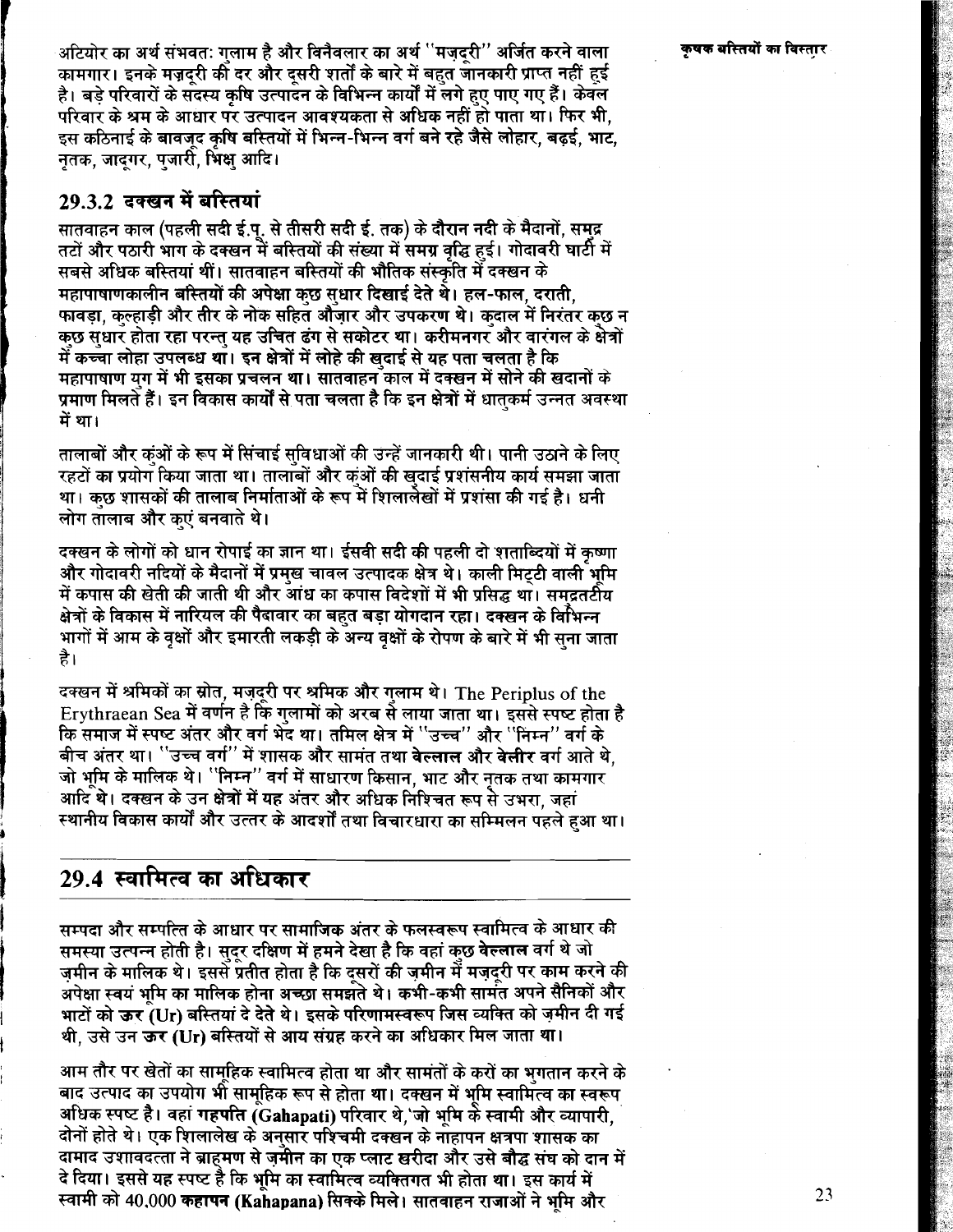अटियोर का अर्थ संभवत: गलाम है और विनैवलार का अर्थ ''मजदरी'' अर्जित करने वाला कामगार। इनके मज़दरी की दर और दसरी शर्तों के बारे में बहत जानकारी प्राप्त नहीं हुई है। बड़े परिवारों के सुदस्य कृषि उत्पादन के विभिन्न कार्यों में लगे हुए पाए गए हैं। केवल परिवार के श्रम के आधार पर उत्पादन आवश्यकता से अधिक नहीं हो पाता था। फिर भी, इस कठिनाई के बावजद कषि बस्तियों में भिन्न-भिन्न वर्ग बने रहे जैसे लोहार, बढई, भाट, नतक. जादगर. पजारी. भिक्ष आदि।

### 29.3.2 टक्खन में बस्तियां

सातवाहन काल (पहली सदी ई.पू. से तीसरी सदी ई. तक) के दौरान नदी के मैदानों. समद्र तटों और पठारी भाग के दक्खन में बस्तियों की संख्या में समग्र वद्धि हुई। गोदावरी घाटी में सबसे अधिक बस्तियां थीं। सातवाहन बस्तियों की भौतिक संस्कृति में दक्खन के महापाषाणकालीन बस्तियों की अपेक्षा कछ सधार दिखाई देते थे। हल-फाल, दराती, फावडा. कल्हाडी और तीर के नोक सहित औँजार और उपकरण थे। कदाल में निरंतर कछ न कछ संधार होता रहा परन्त यह उचित ढंग से सकोटर था। करीमनगर और वारंगल के क्षेत्रों में कच्चा लोहा उपलब्ध था। इन क्षेत्रों में लोहे की खदाई से यह पता चलता है कि महापाषाण यग में भी इसका प्रचलन था। सातवाहन काल में दक्खन में सोने की खदानों के प्रमाण मिलते हैं। इन विकास कार्यों से पता चलता है कि इन क्षेत्रों में धातकर्म उन्नत अवस्था में था।

तालाबों और कंओं के रूप में सिंचाई सविधाओं की उन्हें जानकारी थी। पानी उठाने के लिए रहटों का प्रयोग किया जाता था। तालांबों और कंओं की खदाई प्रशंसनीय कार्य समझा जाता था। कछ शासकों की तालाब निर्माताओं के रूप में शिलालेखों में प्रशंसा की गई है। धनी लोग तालाब और क्एं बनवाते थे।

दक्खन के लोगों को धान रोपाई का ज्ञान था। ईसवी सदी की पहली दो शताब्दियों में कष्णा और गोदावरी नदियों के मैदानों में प्रमुख चावल उत्पादक क्षेत्र थे। काली मिट्टी वाली भूमि में कपास की खेती की जाती थी और आंध का कपास विदेशों में भी प्रसिद्ध था। समद्रतटीय क्षेत्रों के विकास में नारियल की पैदावार का बहत बड़ा योगदान रहा। दक्खन के विभिन्न भागों में आम के वक्षों और इमारती लकड़ी के अन्य वक्षों के रोपण के बारे में भी सना जाता है।

दक्खन में श्रमिकों का स्रोत, मजुदुरी पर श्रमिक और गलाम थे। The Periplus of the Erythraean Sea में वर्णन है कि गलामों को अरब से लाया जाता था। इससे स्पष्ट होता है कि समाज में स्पष्ट अंतर और वर्ग भेंद था। तमिल क्षेत्र में "उच्च" और "निम्न" वर्ग के बीच अंतर था। <sup>''</sup>उच्च वर्ग'' में शासक और सामंत तथा **वेल्लाल** और वेलीर वर्ग आते थे. जो भूमि के मालिक थे। ''निम्न'' वर्ग में साधारण किसान, भाट और नृतक तथा कामगार आदि थे। दक्खन के उन क्षेत्रों में यह अंतर और अधिक निश्चित रूप से उभरा, जहां स्थानीय विकास कार्यों और उत्तर के आदर्शों तथा विचारधारा का सम्मिलन पहले हुआ था।

### 29.4 स्वामित्व का अधिकार

सम्पदा और सम्पत्ति के आधार पर सामाजिक अंतर के फलस्वरूप स्वामित्व के आधार की समस्या उत्पन्न होती है। सदर दक्षिण में हमने देखा है कि वहां कछ वेल्लाल वर्ग थे जो ज़मीन के मालिक थे। इससे प्रतीत होता है कि दूसरों की ज़मीन में मज़दूरी पर काम करने की अपेक्षा स्वयं भमि का मालिक होना अच्छा समझते थे। कभी-कभी सामंत अपने सैनिकों और भाटों को ऊर<sup>ें</sup>(Ur) बस्तियां दे देते थे। इसके परिणामस्वरूप जिस व्यक्ति को ज़मीन दी गई थी. उसे उन **ऊर (Ur) बरितयों से आय संग्रह करने का अधिकार मिल जाता था**।

आम तौर पर खेतों का सामूहिक स्वामित्व होता था और सामंतों के करों का भुगतान करने के बाद उत्पाद का उपयोग भी सामुहिक रूप से होता था। दक्खन में भूमि स्वामित्व का स्वरूप अधिक स्पष्ट है। वहां गहपति (Gahapati) परिवार थे,'जो भमि के स्वामी और व्यापारी. दोनों होते थे। एक शिलालेख के अनसार पश्चिमी दक्खन के नाहापन क्षत्रपा शासक का दामाद उशावदत्ता ने ब्राहमण से जुमीन का एक प्लाट खरीदा और उसे बौद्ध संघ को दान में दे दिया। इससे यह स्पष्ट है कि भूमि का स्वामित्व व्यक्तिगत भी होता था। इस कार्य में स्वामी को 40,000 कहापन (Kahapana) सिक्के मिले। सातवाहन राजाओं ने भमि और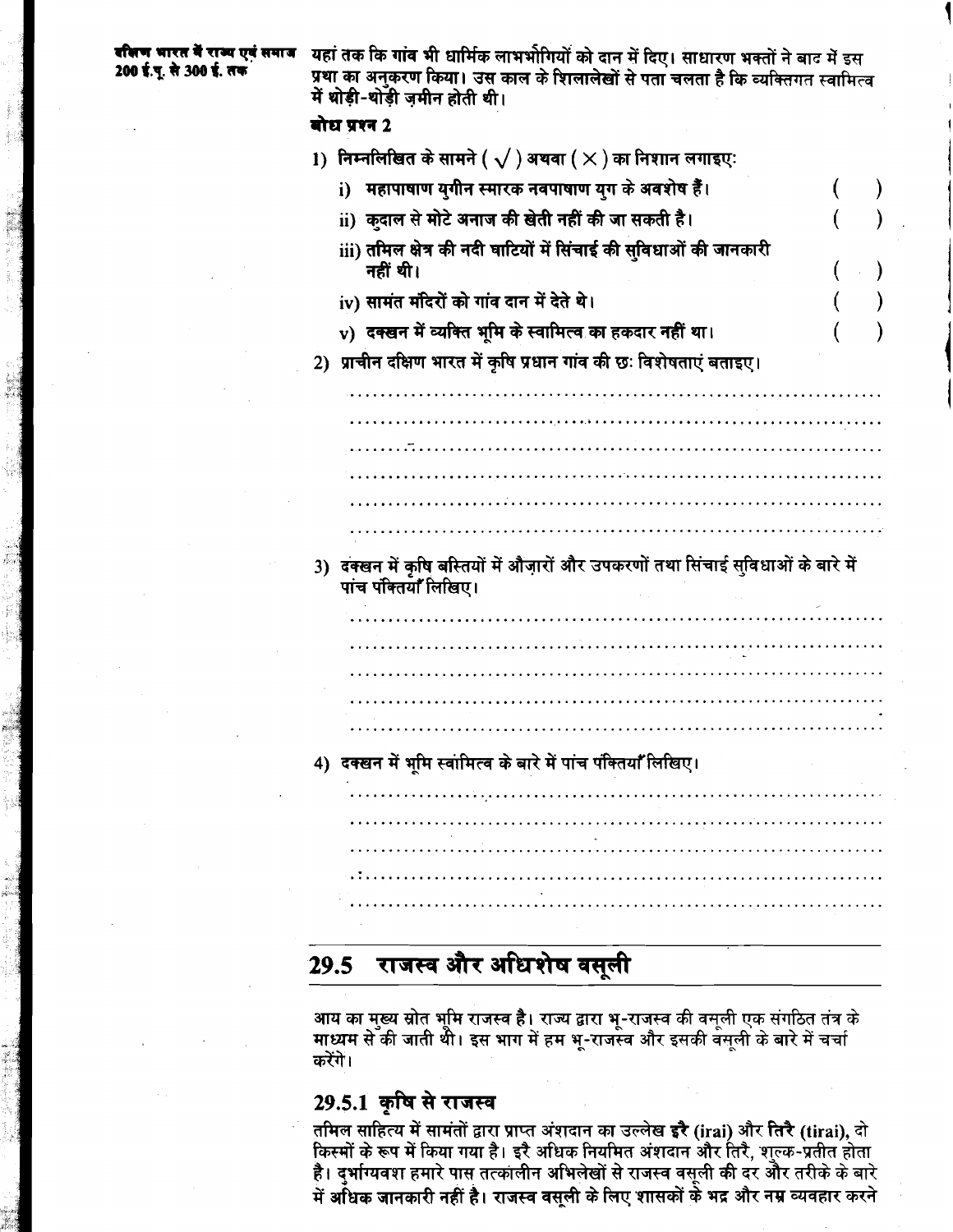यहां तक कि गांव भी धार्मिक लाभभीगियों को दान में दिए। साधारण भक्तों ने बाट में इस प्रथा का अनुकरण किया। उस काल के शिलालेखों से पता चलता है कि व्यक्तिगत स्वामित्व में थोड़ी-थोड़ी ज़मीन होती थी।

### बोध प्रश्न 2

| 1) निम्नलिखित के सामने ( $\sqrt{}$ ) अथवा ( $\times$ ) का निशान लगाइए:                                     |  |
|------------------------------------------------------------------------------------------------------------|--|
| महापाषाण युगीन स्मारक नवपाषाण युग के अवशेष हैं।<br>i)                                                      |  |
| ii) कदाल से मोटे अनाज की खेती नहीं की जा सकती है।                                                          |  |
| iii) तमिल क्षेत्र की नदी घाटियों में सिंचाई की सुविधाओं की जानकारी<br>नहीं थी।                             |  |
| iv) सामंत मंदिरों को गांव दान में देते थे।                                                                 |  |
| v) दक्खन में व्यक्ति भूमि के स्वामित्व का हकदार नहीं था।                                                   |  |
| 2) प्राचीन दक्षिण भारत में कृषि प्रधान गांव की छः विशेषताएं बताइए।                                         |  |
|                                                                                                            |  |
|                                                                                                            |  |
|                                                                                                            |  |
|                                                                                                            |  |
|                                                                                                            |  |
|                                                                                                            |  |
|                                                                                                            |  |
| 3) दक्खन में कृषि बस्तियों में औज़ारों और उपकरणों तथा सिंचाई सुविधाओं के बारे में<br>पांच पंक्तियाँ लिखिए। |  |
|                                                                                                            |  |
|                                                                                                            |  |
|                                                                                                            |  |
|                                                                                                            |  |
|                                                                                                            |  |
| 4) दक्खन में भूमि स्वामित्व के बारे में पांच पंक्तियाँ लिखिए।                                              |  |
|                                                                                                            |  |
|                                                                                                            |  |
|                                                                                                            |  |
|                                                                                                            |  |

#### राजस्व और अधिशेष वसूली  $29.5$

आय का मुख्य स्रोत भूमि राजस्व है। राज्य द्वारा भू-राजस्व की वसूली एक संगठित तंत्र के<br>माध्यम से की जाती थी। इस भाग में हम भू-राजस्व और इसकी वसूली के बारे में चर्चा करेंगे।

## 29.5.1 कृषि से राजस्व

तमिल साहित्य में सामंतों द्वारा प्राप्त अंशदान का उल्लेख इरै (irai) और तिरै (tirai), दो किस्मों के रूप में किया गया है। इरै अधिक नियमित अंशदान और तिरै, शुल्क-प्रतीत होता है। दुर्भाग्यवश हमारे पास तत्कालीन अभिलेखों से राजस्व वसूली की दर और तरीके के बारे रेंगे हुए सारा स्टेल के बार से सारा सारा करने के सारा से हुए सारा से सारा से करने हैं।<br>में अधिक जानकारी नहीं है। राजस्व वसूली के लिए शासकों के भद्र और नम्र व्यवहार करने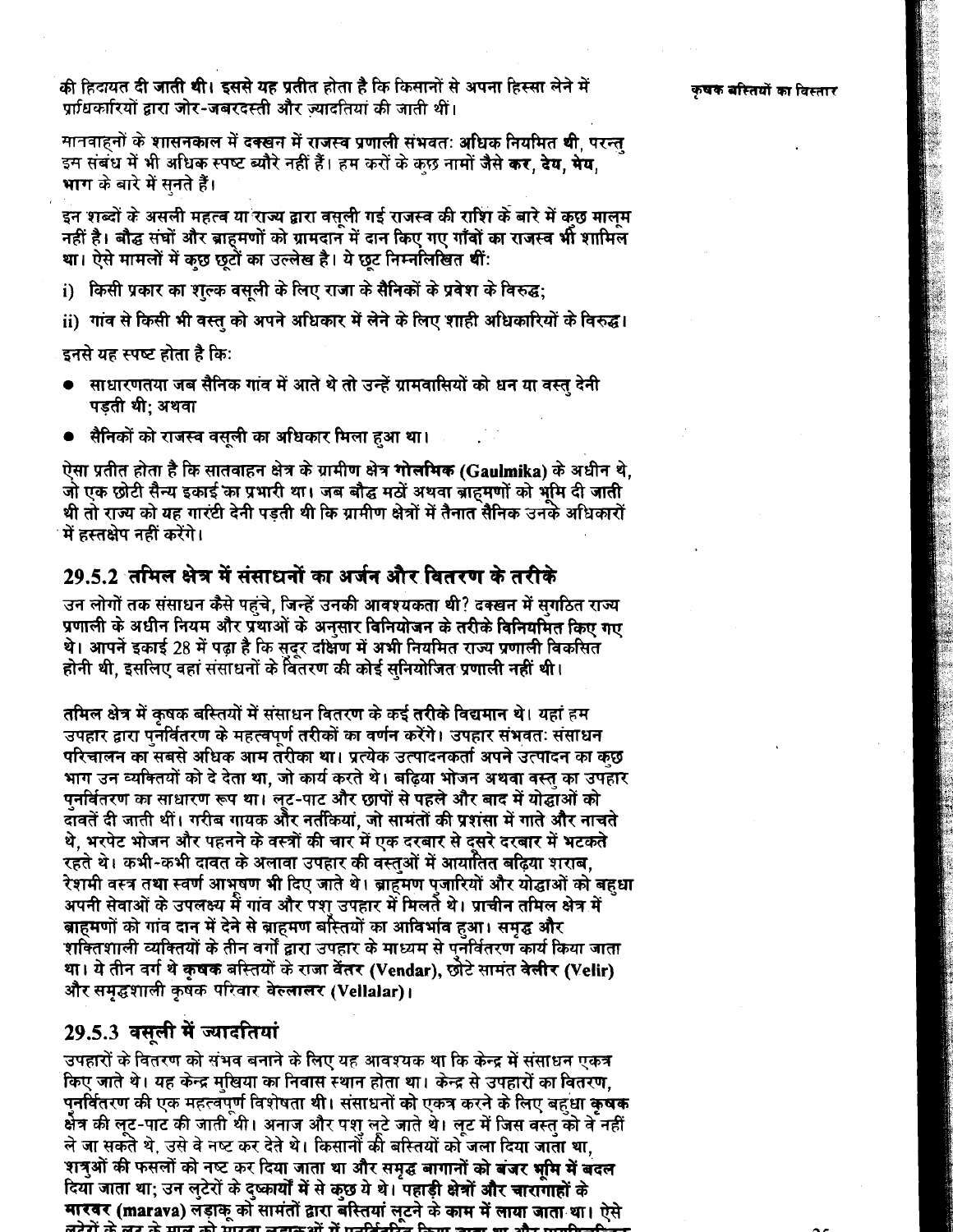की हिदायत दी जाती थी। इससे यह प्रतीत होता है कि किसानों से अपना हिस्सा लेने में प्राधिकारियों द्वारा जोर-जबरदस्ती और ज्यादतियां की जाती थीं।

मानवाहनों के शासनकाल में दक्खन में राजस्व प्रणाली संभवतः अधिक नियमित थी. परन्त इस संबंध में भी अधिक स्पष्ट ब्यौरे नहीं हैं। हम करों के कछ नामों जैसे कर, देय, मेय, भाग के बारे में सनते हैं।

इन शब्दों के असली महत्व या राज्य द्वारा वसली गई राजस्व की राशि के बारे में कछ मालम नहीं है। बौद्ध संघों और ब्राहमणों को ग्रामदान में दान किए गए गाँवों का राजस्व भी शामिल था। ऐसे मामलों में कुछ छुटों का उल्लेख है। ये छट निम्नलिखित थीं:

- i) किसी प्रकार का शल्क वसली के लिए राजा के सैनिकों के प्रवेश के विरुद्ध;
- ii) गांव से किसी भी वस्त को अपने अधिकार में लेने के लिए शाही अधिकारियों के विरुद्ध।

इनसे यह स्पष्ट होता है कि:

- साधारणतया जब सैनिक गांव में आते थे तो उन्हें ग्रामवासियों को धन या वस्तु देनी पडती थी: अथवा
- सैनिकों को राजस्व वसूली का अधिकार मिला हुआ था।

ऐसा प्रतीत होता है कि सातवाहन क्षेत्र के ग्रामीण क्षेत्र **गोलमिक (Gaulmika)** के अधीन थे, जो एक छोटी सैन्य इकाई का प्रभारी था। जब बौद्ध मठों अथवा बाहमणों को भमि दी जाती थी तो राज्य को यह गारंटी देनी पडती थी कि ग्रामीण क्षेत्रों में तैनात सैनिक उनके अधिकारों में हस्तक्षेप नहीं करेंगे।

### 29.5.2 तमिल क्षेत्र में संसाधनों का अर्जन और वितरण के तरीके

उन लोगों तक संसाधन कैसे पहुंचे, जिन्हें उनकी आवश्यकता थी? दक्खन में सगठित राज्य प्रणाली के अधीन नियम और प्रथाओं के अनुसार विनियोजन के तरीके विनियमित किए गए थे। आपने इकाई 28 में पढ़ा है कि सदर दक्षिण में अभी नियमित राज्य प्रणाली विकसित होनी थी, इसलिए वहां संसाधनों के वितरण की कोई सुनियोजित प्रणाली नहीं थी।

तमिल क्षेत्र में कृषक बस्तियों में संसाधन वितरण के कई तरीके विद्यमान थे। यहां हम उपहार द्वारा पनर्वितरण के महत्वपूर्ण तरीकों का वर्णन करेंगे। उपहार संभवतः संसाधन परिचालन का सबसे अधिक आम तरीका था। प्रत्येक उत्पादनकर्ता अपने उत्पादन का कुछ भाग उन व्यक्तियों को दे देता था. जो कार्य करते थे। बढिया भोजन अथवा वस्त का उपहार पुनर्वितरण का साधारण रूप था। लुट-पाट और छापों से पहले और बाद में योद्धाओं को दावतें दी जाती थीं। गरीब गायक और नतीकयां. जो सामंतों की प्रशंसा में गाते और नाचते थे. भरपेट भोजन और पहनने के वस्त्रों की चार में एक दरबार से दसरे दरबार में भटकते रहते थे। कभी-कभी दावत के अलावा उपहार की वस्तओं में आयातित बढिया शराब. रेशमी वस्त्र तथा स्वर्ण आभूषण भी दिए जाते थे। ब्राहमण पुजारियों और योद्धाओं को बहुधा अपनी सेवाओं के उपलक्ष्य में गांव और पश उपहार में मिलते थे। प्राचीन तमिल क्षेत्र में ब्राहमणों को गांव दान में देने से ब्राहमण बस्तियों का आविर्भाव हुआ। समृद्ध और शक्तिशाली व्यक्तियों के तीन वर्गों द्वारा उपहार के माध्यम से पुनर्वितरण कार्य किया जाता था। ये तीन वर्ग थे कृषक बस्तियों के राजा वेंतर (Vendar), छोटे सामंत वेलीर (Velir) और समृद्धशाली कृषक परिवार बेल्लालर (Vellalar)।

## 29.5.3 वसूली में ज्यादतियां

उपहारों के वितरण को संभव बनाने के लिए यह आवश्यक था कि केन्द्र में संसाधन एकत्र किए जाते थे। यह केन्द्र मुखिया का निवास स्थान होता था। केन्द्र से उपहारों का वितरण, पनर्वितरण की एक महत्वपूर्ण विशेषता थी। संसाधनों को एकत्र करने के लिए बहुधा कु**षक** र्कत्र की लूट-पाट की जाती थी। अनाज और पशु लूटे जाते थे। लूट में जिस वस्तु को वे नहीं ले जा सकते थे, उसे वे नष्ट कर देते थे। किसानों की बस्तियों को जला दिया जाता था, शत्रुओं की फसलों को नष्ट कर दिया जाता था और समृद्ध बागानों को बजर भूमि में बदल दिया जाता था; उन लुटेरों के दुष्कार्यों में से कुछ ये थे। पहाड़ी क्षेत्रों और चारागाहों के मारबर (marava) लड़ाकू को सामंतों द्वारा बस्तियां लुटने के काम में लाया जाता था। ऐसे लरेगें के लग के माल को मारता लगकशों में मुक्तिक्रिके किया कुला था और मुक्ति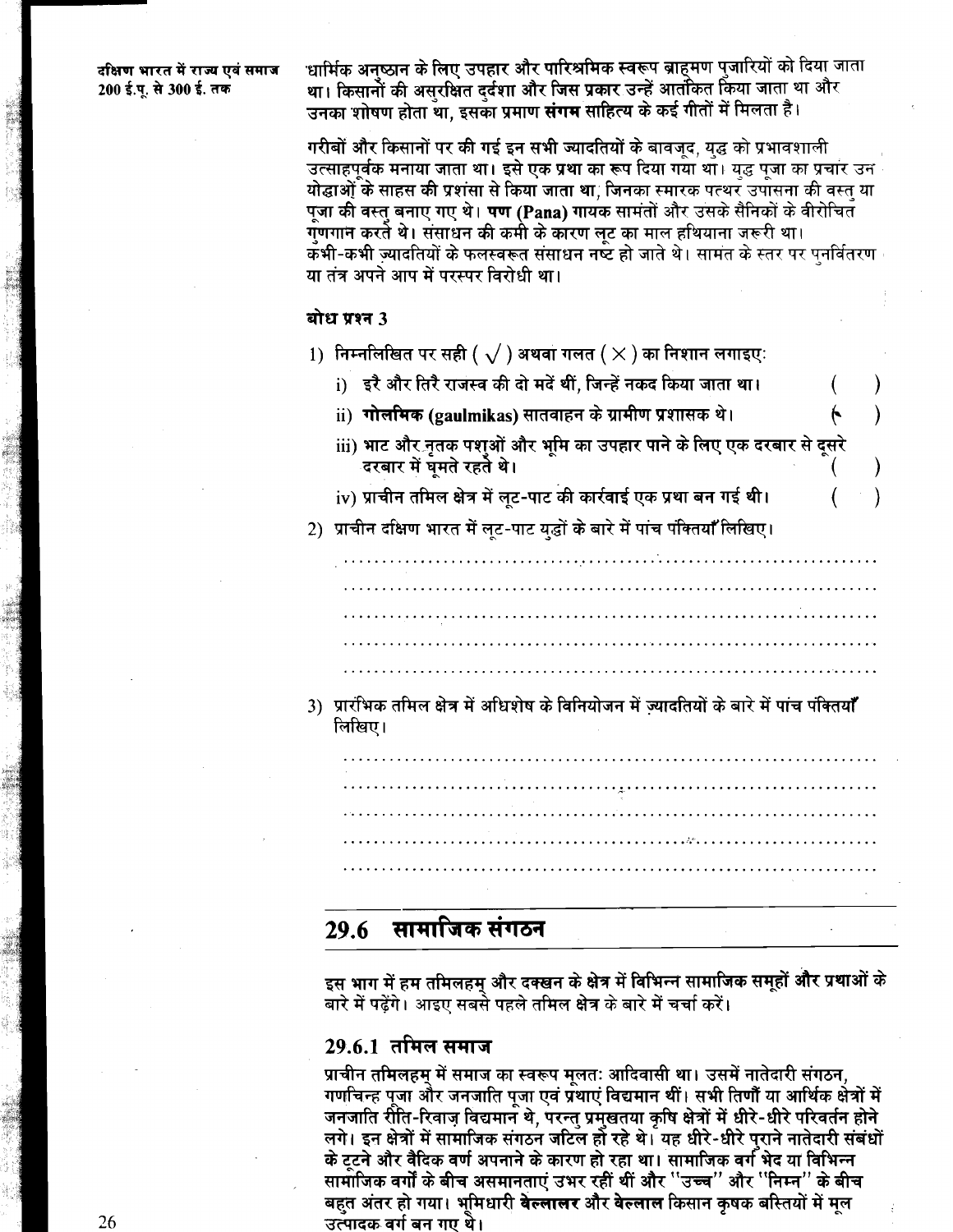दक्षिण भारत में राज्य एवं समाज 200 ई.पू. से 300 ई. तक

धार्मिक अनुष्ठान के लिए उपहार और पारिश्रमिक स्वरूप ब्राहमण पुजारियों को दिया जाता था। किसानों की असुरक्षित दुर्दशा और जिस प्रकार उन्हें आतंकित किया जाता था और उनका शोषण होता था. इसका प्रमाण **संगम** साहित्य के कई गीतों में मिलता है।

गरीबों और किसानों पर की गई इन सभी ज्यादतियों के बावजद, यद्ध को प्रभावशाली उत्साहपर्वक मनाया जाता था। इसे एक प्रथा का रूप दिया गया था। युद्ध पूजा का प्रचार उन योद्धाओं के साहस की प्रशंसा से किया जाता था. जिनका स्मारक पत्थर उपासना की वस्त या पजा की वस्त बनाए गए थे। **पण (Pana)** गायक सामंतों और उसके सैनिकों के वीरोचित गणगान करते थे। संसाधन की कमी के कारण लट का माल हथियाना जरूरी था। ्कभी-कभी ज्यादतियों के फलस्वरूत संसाधन नष्ट हो जाते थे। सामत के स्तर पर पनर्वितरण या तंत्र अपने आप में परस्पर विरोधी था।

#### बोध प्रश्न 3

- 1) निम्नलिखित पर सही (  $\sqrt{}$  ) अथवा गलत (  $\times$  ) का निशान लगाइए:
	- i) इरै और तिरै राजस्व की दो मदें थीं. जिन्हें नकद किया जाता था।
	- ii) **गोलमिक (gaulmikas)** सातवाहन के ग्रामीण प्रशासक थे।
	- iii) भाट और नृतक पशओं और भमि का उपहार पाने के लिए एक दरबार से दूसरे दरबार में घमते रहते थे।

 $\mathcal{E}$ 

- iv) प्राचीन तमिल क्षेत्र में लुट-पाट की कार्रवाई एक प्रथा बन गई थी।
- 2) प्राचीन दक्षिण भारत में लट-पाट युद्धों के बारे में पांच पंक्तियाँ लिखिए।

3) प्रारंभिक तमिल क्षेत्र में अधिशेष के विनियोजन में ज्यादतियों के बारे में पांच पंक्तियाँ लिखिए।

#### सामाजिक संगठन 29.6

इस भाग में हम तमिलहम् और दक्खन के क्षेत्र में विभिन्न सामाजिक समूहों और प्रथाओं के बारे में पढेंगे। आइए सबसे पहले तमिल क्षेत्र के बारे में चर्चा करें।

### <u>29.6.1</u> तमिल समाज

प्राचीन तमिलहम् में समाज का स्वरूप मूलतः आदिवासी था। उसमें नातेदारी संगठन, गणचिन्ह पूजा और जनजाति पुजा एवं प्रथाएं विद्यमान थीं। सभी तिणौं या आर्थिक क्षेत्रों में जनजाति रीति-रिवाज विद्यमान थे, परन्त प्रमुखतया कृषि क्षेत्रों में धीरे-धीरे परिवर्तन होने लगे। इन क्षेत्रों में सामाजिक संगठन जटिल हो रहे थे। यह धीरे-धीरे पराने नातेदारी संबंधों के टूटने और वैदिक वर्ण अपनाने के कारण हो रहा था। सामाजिक वर्ग भेद या विभिन्न सामाजिक वर्गों के बीच असमानताएं उभर रहीं थीं और ''उच्च'' और ''निम्न'' के बीच बहत अंतर हो गया। भमिधारी **वेल्लालर** और वेल्लाल किसान कषक बस्तियों में मल उत्पादक वर्ग बन गए थे।

26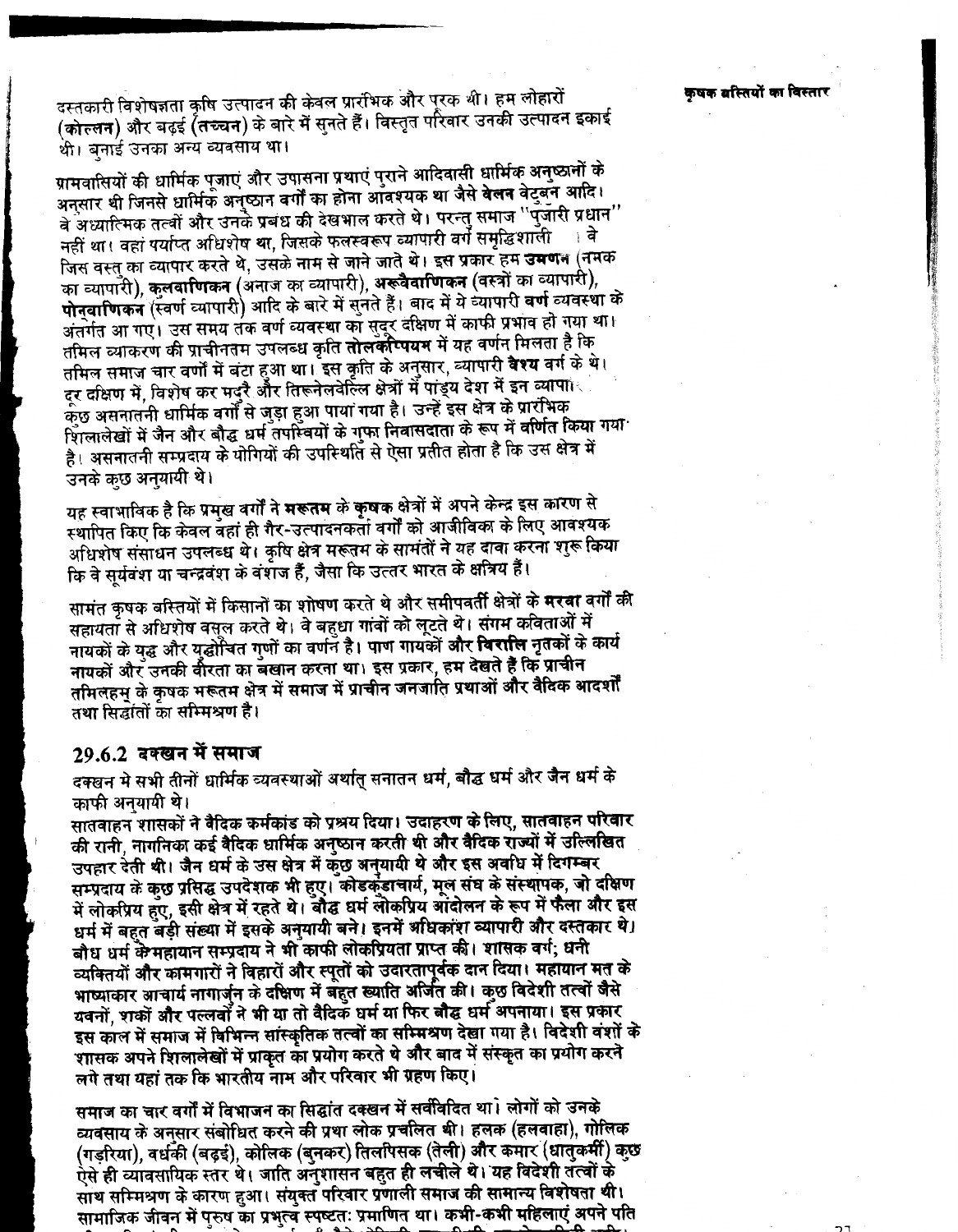दस्तकारी विशेषज्ञता कृषि उत्पादन की केवल प्रारंभिक और पुरक थी। हम लोहारों (कोल्लन) और बढ़ई (तच्चन) के बारे में सनते हैं। विस्तृत परिवार उनकी उत्पादन इकाई थी। बनाई उनका अन्य व्यवसाय था।

ग्रामवासियों की धार्मिक पूजाएं और उपासना प्रथाएं पुराने आदिवासी धार्मिक अनुष्ठानों के अनुसार थी जिनसे धार्मिक अनुष्ठान वर्गों का होना आँवश्यक था जैसे **वेलन** वेटुबन आदि। वे अध्यात्मिक तत्वों और उनके प्रबंध की देखभाल करते थे। परन्तु समाज ''पूजारी प्रधान'' नहीं था। वहां पर्याप्त अधिशेष था, जिसके फलस्वरूप व्यापारी वर्ग समृद्धिशाली जिस वस्त का व्यापार करते थे, उसके नाम से जाने जाते थे। इस प्रकार हम **उमण**न (नमक का व्यापारी), कलवाणिकन (अनाज का व्यापारी), अरूवैवाणिकन (वस्त्रों का व्यापारी), पोनुवाणिकन (स्वर्ण व्यापारी) आदि के बारे में सनते हैं। बाद में ये व्यापारी वर्ण व्यवस्था के अंतर्गत आ गए। उस समय तक वर्ण व्यवस्था का सदर दक्षिण में काफी प्रभाव हो गया था। तमिल व्याकरण की प्राचीनतम उपलब्ध कृति **तोलकोप्पयम** में यह वर्णन मिलता है कि तमिल समाज चार वर्णों में बंटा हुआ था। इस कृति के अनुसार, व्यापारी **वेश्य** वर्ग के थे। दर दक्षिण में, विशेष कर मदरै और तिरूनेलवेल्लि क्षेत्रों में पांड्य देश में इन व्यापा⊧ कुछ असनातनी धार्मिक वर्गों से जड़ा हुआ पाया गया है। उन्हें इस क्षेत्र के प्रारंभिक शिलालेखों में जैन और बौद्ध धर्म तपस्वियों के गफा निवासदाता के रूप में वर्णित किया गया<sup>.</sup> है। असनातनी सम्प्रदाय के योगियों की उपस्थिति से ऐसा प्रतीत होता है कि उस क्षेत्र में उनके कुछ अनयायी थे।

यह स्वाभाविक है कि प्रमुख वर्गों ने मरूतम के कुषक क्षेत्रों में अपने केन्द्र इस कारण से स्थापित किए कि केवल बहां ही गैर-उत्पादनकर्ता वर्गों को आजीविका के लिए आवश्यक अधिशेष संसाधन उपलब्ध थे। कृषि क्षेत्र मरूतम के सामंतों ने यह दावा करना शुरू किया कि वे सुर्यवंश या चन्द्रवंश के वंशज हैं, जैसा कि उत्तर भारत के क्षत्रिय हैं।

सामंत कृषक बस्तियों में किसानों का शोषण करते थे और समीपवर्ती क्षेत्रों के **मरवा** वर्गों की सहायता से अधिशेष वसूल करते थे। वे बहुधा गांवों को लूटते थे। संगम कविताओं में नायकों के युद्ध और युद्धोंचित गुणों का वर्णन है। पाण गायकों **और विरालि** नृतकों के कार्य नायकों और उनकी वीरता का बखान करना था। इस प्रकार, हम देखते हैं कि प्राचीन तमिलहम् के कृषक मरूतम क्षेत्र में समाज में प्राचीन जनजाति प्रथाओं और वैदिक आदर्शों तथा सिद्धांतों का सम्मिश्रण है।

### 29.6.2 दक्खन में समाज

दक्खन मे सभी तीनों धार्मिक व्यवस्थाओं अर्थातु सनातन धर्म, बौद्ध धर्म और जैन धर्म के काफी अनयायी थे।

सातवाहन शासकों ने वैदिक कर्मकांड को प्रश्रय दिया। उदाहरण के लिए, सातवाहन परिवार की रानी, नागनिका कई वैदिक धार्मिक अनुष्ठान करती थी और वैदिक राज्यों में उल्लिखित उपहार देती थी। जैन धर्म के उस क्षेत्र में कुछ अनयायी थे और इस अवधि में दिगम्बर सम्प्रदाय के कुछ प्रसिद्ध उपदेशक भी हुए। कोडकुंडाचार्य, मूल संघ के संस्थापक, जो दक्षिण में लोकप्रिय हुए, इसी क्षेत्र में रहते थे। बौद्ध धर्म लोकप्रिय आंदोलन के रूप में फैला और इस धर्म में बहुत बड़ी संख्या में इसके अनुयायी बने। इनमें अधिकांश व्यापारी और दस्तकार थे। बौध धर्म के महायान सम्प्रदाय ने भी काफी लोकप्रियता प्राप्त की। शासक वर्ग, धनी व्यक्तियों और कामगारों ने विहारों और स्पूतों को उदारतापूर्वक दान दिया। महायान मत के भाष्याकार आचार्य नागार्जुन के दक्षिण में बहुत ख्याति अर्जित की। कुछ विदेशी तत्वों जैसे यवनों, शकों और पल्लवों ने भी या तो वैदिक धर्म या फिर बौद्ध धर्म अपनाया। इस प्रकार इस काल में समाज में विभिन्न सांस्कृतिक तत्वों का सम्मिश्रण देखा गया है। विदेशी वंशों के शासक अपने शिलालेखों में प्राकृत का प्रयोग करते थे और बाद में संस्कृत का प्रयोग करने लगे तथा यहां तक कि भारतीय नाम और परिवार भी ग्रहण किए।

समाज का चार वर्गों में विभाजन का सिद्धांत दक्खन में सर्वविदित था। लोगों को उनके व्यवसाय के अनुसार संबोधित करने की प्रथा लोक प्रचलित थी। हलक (हलवाहा), गोलिक (गड़रिया), वर्धकी (बढ़ई), कोलिक (बुनकर) तिलपिसक (तेली) और कमार (धातुकर्मी) कुछ ऐसे ही व्यावसायिक स्तर थे। जाति अनुशासन बहुत ही लचीले थे। यह विदेशी तत्वों के साथ सम्मिश्रण के कारण हुआ। संयुक्त परिवार प्रणाली समाज की सामान्य विशेषता थी। सामाजिक जीवन में पुरुष का प्रभुत्व स्पष्टतः प्रमाणित था। कभी-कभी महिलाएं अपने पति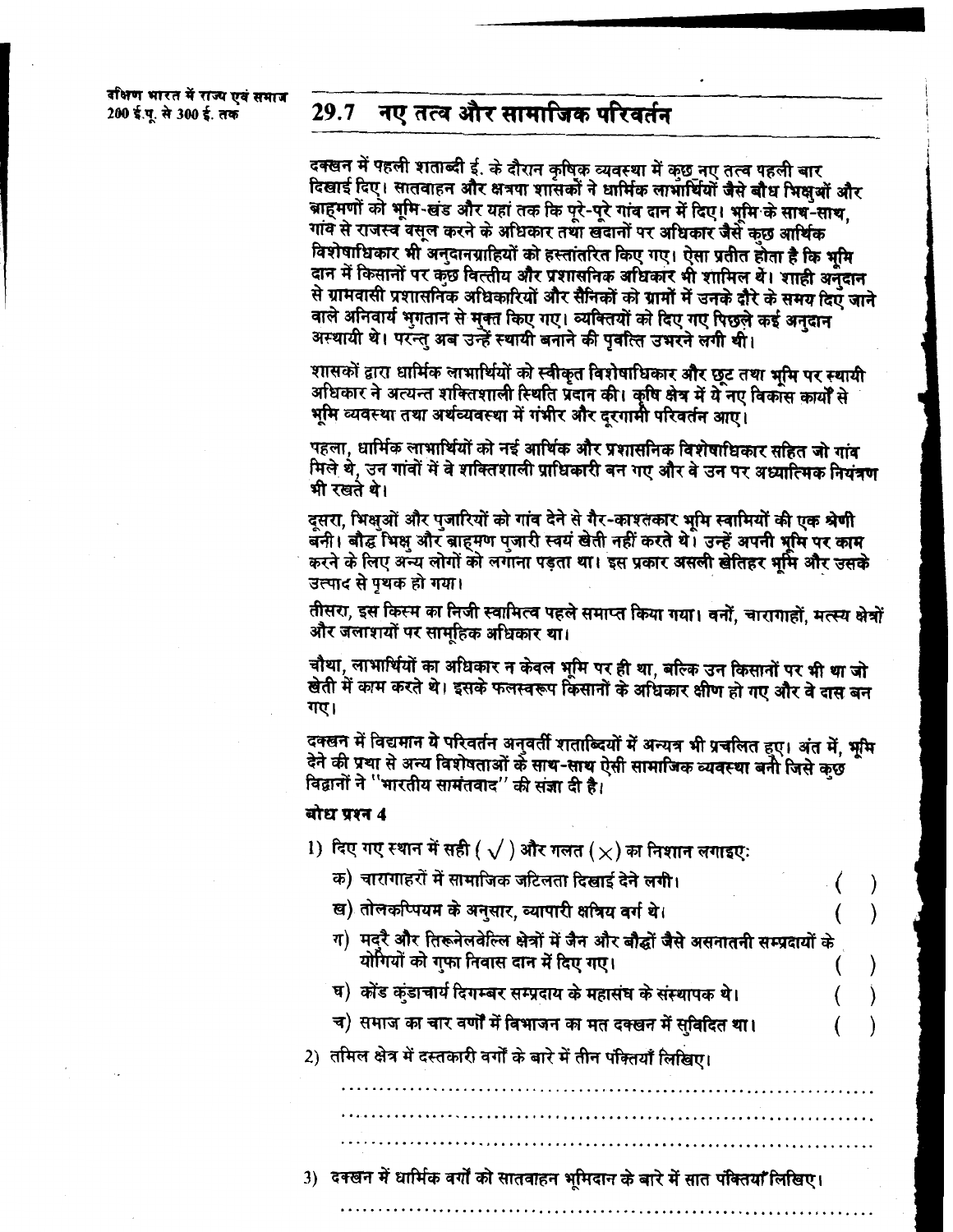#### नए तत्व और सामाजिक परिवर्तन 29.7

दक्खन में पहली शताब्दी ई. के दौरान कृषिक व्यवस्था में कुछ नए तत्व पहली बार दिखाई दिए। सातवाहन और क्षत्रपा शांसकों ने धार्मिक लाभार्थियों जैसे बौध भिक्षओं और बाहमणों को भूमि-खंड और यहां तक कि पूरे-पूरे गांव दान में दिए। भूमि के साथ-साथ, गांव से राजस्व वसूल करने के अधिकार तथा खंदानों पर अधिकार जैसे कुछ आर्थिक विशेषाधिकार भी अनुदानग्राहियों को हस्तांतरित किए गए। ऐसा प्रतीत होता है कि भूमि दान में किसानों पर कुछ वित्तीय और प्रशासनिक अधिकार भी शामिल थें। शाही अनुदान से ग्रामवासी प्रशासनिक अधिकारियों और सैनिकों को ग्रामों में उनके दौरे के समय दिए जाने वाले अनिवार्य भुगतान से मुक्त किए गए। व्यक्तियों को दिए गए पिछले कई अनुदान अस्थायी थे। परन्तु अब उन्हें स्थायी बनाने की पवत्ति उभरने लगी थी।

शासकों द्वारा धार्मिक लाभार्थियों को स्वीकृत विशेषाधिकार और छूट तथा भूमि पर स्थायी अधिकार ने अत्यन्त शक्तिशाली स्थिति प्रदान की। कृषि क्षेत्र में ये नए विकास कार्यों से भूमि व्यवस्था तथा अर्थव्यवस्था में गंभीर और दूरगामी परिवर्तन आए।

पहला, धार्मिक लाभार्थियों को नई आर्थिक और प्रशासनिक विशेषाधिकार सहित जो गांव मिले थे, उन गांवों में वे शक्तिशाली प्राधिकारी बन गए और वे उन पर अध्यात्मिक नियंत्रण भी रखते थे।

दसरा, भिक्षुओं और पुजारियों को गांव देने से गैर-काश्तकार भूमि स्वामियों की एक श्रेणी बनी। बौद्ध भिक्ष और बाहमण प्जारी स्वयं खेती नहीं करते थे। उन्हें अपनी भूमि पर काम करने के लिए अन्य लोगों को लगाना पड़ता था। इस प्रकार असली खेतिहर भूमि और उसके उत्पाद से पृथक हो गया।

तीसरा, इस किस्म का निजी स्वामित्व पहले समाप्त किया गया। वनों, चारागाहों, मत्स्य क्षेत्रों और जलाशयों पर सामहिक अधिकार था।

चौथा, लाभार्थियों का अधिकार न केवल भूमि पर ही था, बल्कि उन किसानों पर भी था जो खेती में काम करते थे। इसके फलस्वरूप किसानों के अधिकार क्षीण हो गए और वे दास बन गए।

दक्खन में विद्यमान ये परिवर्तन अनुवर्ती शताब्दियों में अन्यत्र भी प्रचलित हुए। अंत में, भूमि देने की प्रथा से अन्य विशेषताओं के साथ-साथ ऐसी सामाजिक व्यवस्था बनी जिसे कुछ विद्वानों ने "भारतीय सामंतवाद" की संज्ञा दी है।

बोध प्रश्न 4

- 1) दिए गए स्थान में सही (  $\sqrt{}$  ) और गलत ( $\times$ ) का निशान लगाइए:
- क) चारागाहरों में सामाजिक जटिलता दिखाई देने लगी। ख) तोलकप्पियम के अनुसार, व्यापारी क्षत्रिय वर्ग थे। ग) मदुरै और तिरूनेलवेल्लि क्षेत्रों में जैन और बौद्धों जैसे असनातनी सम्प्रदायों के योगियों को गुफा निवास दान में दिए गए। घ) कोंड कंडाचार्य दिगम्बर सम्प्रदाय के महासंघ के संस्थापक थे। च) समाज का चार वर्णों में विभाजन का मत दक्खन में सुविदित था। 2) तमिल क्षेत्र में दस्तकारी वर्गों के बारे में तीन पंक्तियाँ लिखिए।

3)) देक्खन में धार्मिक वर्गों को सातवाहन भूमिदान के बारे में सात पंक्तियाँ लिखिए।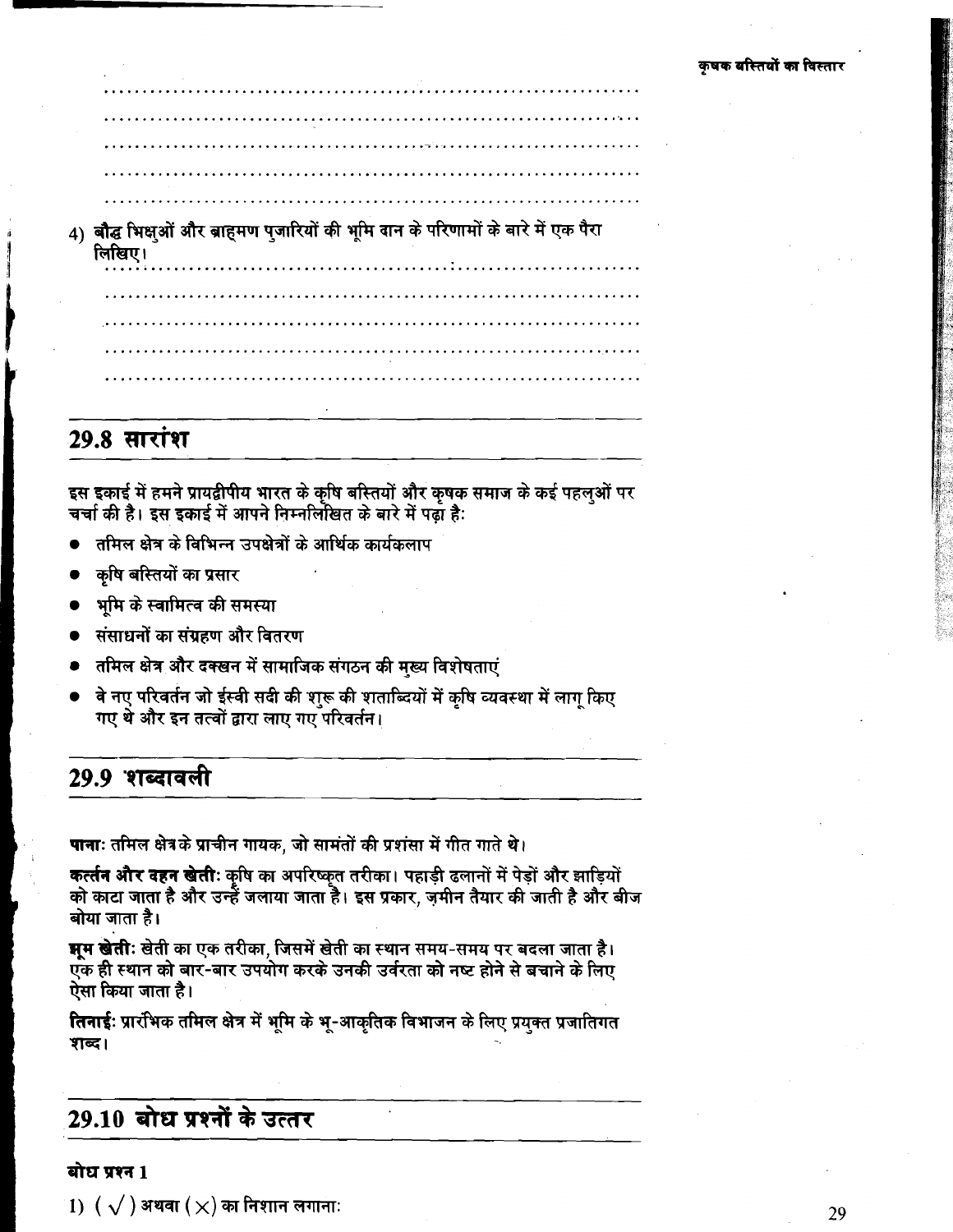4) बौद्ध भिक्षुओं और ब्राहमण पुजारियों की भूमि वान के परिणामों के बारे में एक पैरा लिखिए।

## **29.8 सारांश**

इस इकाई में हमने प्रायद्वीपीय भारत के कृषि बस्तियों और कृषक समाज के कई पहलुओं पर<br>चर्चा की है। इस इकाई में आपने निम्नलिखित के बारे में पढ़ा है:

- तमिल क्षेत्र के विभिन्न उपक्षेत्रों के आर्थिक कार्यकलाप
- कृषि बस्तियों का प्रसार
- भूमि के स्वामित्व की समस्या
- संसाधनों का संग्रहण और वितरण
- तमिल क्षेत्र और दक्खन में सामाजिक संगठन की मख्य विशेषताएं
- वे नए परिवर्तन जो ईस्वी सदी की शुरू की शताब्दियों में कृषि व्यवस्था में लागु किए गए थे और इन तत्वों द्वारा लाए गए परिवर्तन।

## 29.9 शब्दावली

पानाः तमिल क्षेत्रके प्राचीन गायक, जो सामंतों की प्रशंसा में गीत गाते थे।

कर्त्तन और दहन खेती: कृषि का अपरिष्कृत तरीका। पहाड़ी ढलानों में पेड़ों और झाड़ियों को काटा जाता है और उन्हें जलाया जाता है। इस प्रकार, ज़मीन तैयार की जाती है और बीज बोया जाता है।

**भूम खेतीः** खेती का एक तरीका, जिसमें खेती का स्थान समय-समय पर बदला जाता है। एक ही स्थान को बार-बार उपयोग करके उनकी उर्वरता को नष्ट होने से बचाने के लिए ऐसा किया जाता है।

तिनाई: प्रारंभिक तमिल क्षेत्र में भूमि के भू-आकृतिक विभाजन के लिए प्रयुक्त प्रजातिगत शब्द।

## 29.10 बोध प्रश्नों के उत्तर

### बोध प्रश्न 1

 $1)$   $\left(\sqrt{\phantom{1}}\right)$  अथवा  $\left(\times\right)$  का निशान लगाना: